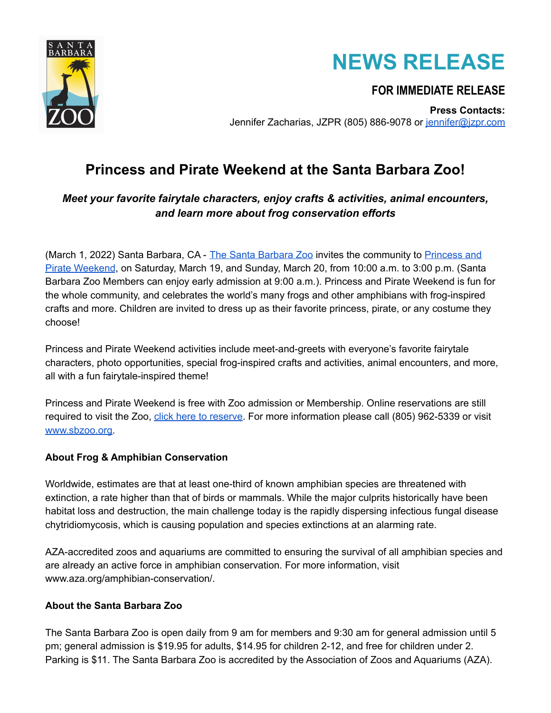



# **FOR IMMEDIATE RELEASE**

**Press Contacts:** Jennifer Zacharias, JZPR (805) 886-9078 or jennifer@izpr.com

# **Princess and Pirate Weekend at the Santa Barbara Zoo!**

# *Meet your favorite fairytale characters, enjoy crafts & activities, animal encounters, and learn more about frog conservation efforts*

(March 1, 2022) Santa [Barbara](https://www.sbzoo.org/), CA - The Santa Barbara Zoo invites the community to [Princess](https://www.sbzoo.org/event/princess-and-pirate-weekend/2022-03-19/) and Pirate [Weekend](https://www.sbzoo.org/event/princess-and-pirate-weekend/2022-03-19/), on Saturday, March 19, and Sunday, March 20, from 10:00 a.m. to 3:00 p.m. (Santa Barbara Zoo Members can enjoy early admission at 9:00 a.m.). Princess and Pirate Weekend is fun for the whole community, and celebrates the world's many frogs and other amphibians with frog-inspired crafts and more. Children are invited to dress up as their favorite princess, pirate, or any costume they choose!

Princess and Pirate Weekend activities include meet-and-greets with everyone's favorite fairytale characters, photo opportunities, special frog-inspired crafts and activities, animal encounters, and more, all with a fun fairytale-inspired theme!

Princess and Pirate Weekend is free with Zoo admission or Membership. Online reservations are still required to visit the Zoo, click here to [reserve.](https://reservations.sbzoo.org/Info.aspx?EventID=3) For more information please call (805) 962-5339 or visit [www.sbzoo.org.](http://www.sbzoo.org)

### **About Frog & Amphibian Conservation**

Worldwide, estimates are that at least one-third of known amphibian species are threatened with extinction, a rate higher than that of birds or mammals. While the major culprits historically have been habitat loss and destruction, the main challenge today is the rapidly dispersing infectious fungal disease chytridiomycosis, which is causing population and species extinctions at an alarming rate.

AZA-accredited zoos and aquariums are committed to ensuring the survival of all amphibian species and are already an active force in amphibian conservation. For more information, visit www.aza.org/amphibian-conservation/.

### **About the Santa Barbara Zoo**

The Santa Barbara Zoo is open daily from 9 am for members and 9:30 am for general admission until 5 pm; general admission is \$19.95 for adults, \$14.95 for children 2-12, and free for children under 2. Parking is \$11. The Santa Barbara Zoo is accredited by the Association of Zoos and Aquariums (AZA).